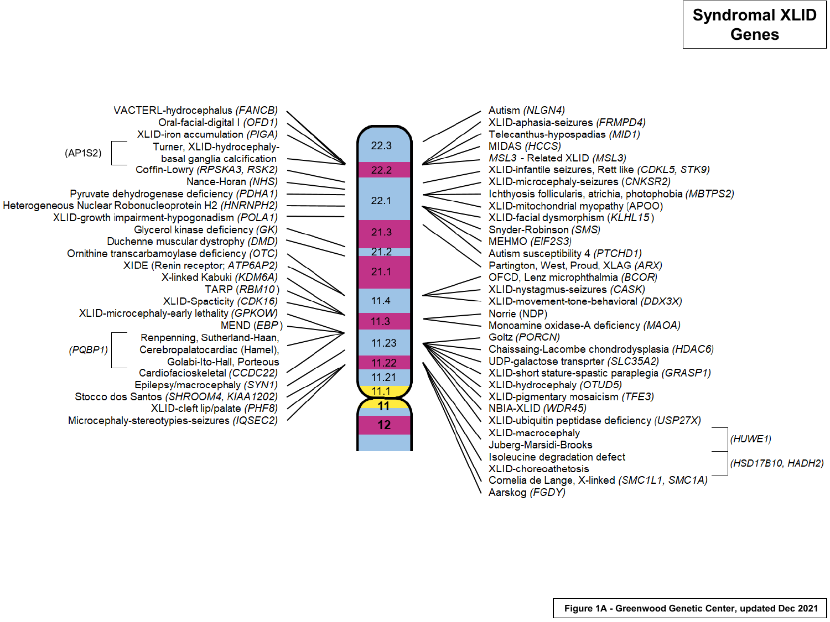## **Syndromal XLID Genes**



Aarskog (FGDY)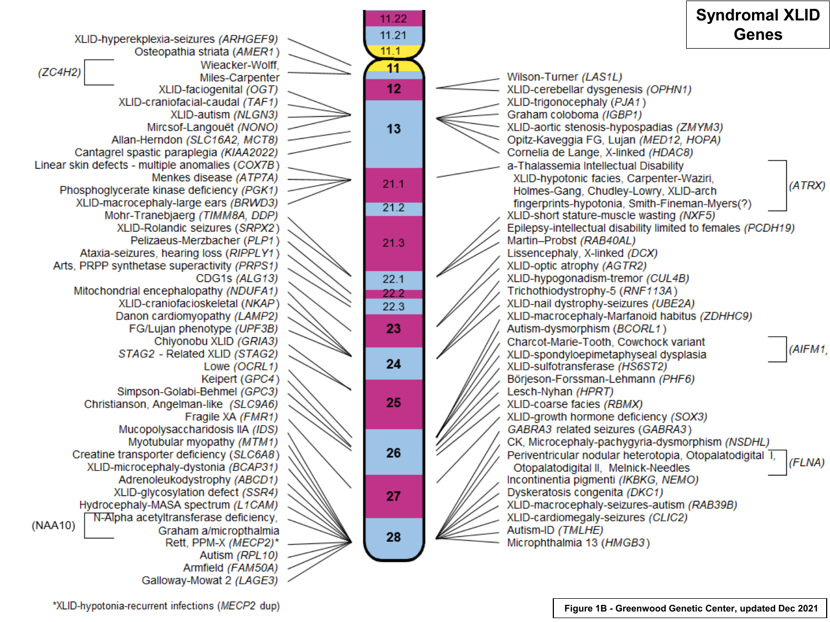

\*XLID-hypotonia-recurrent infections (MECP2 dup)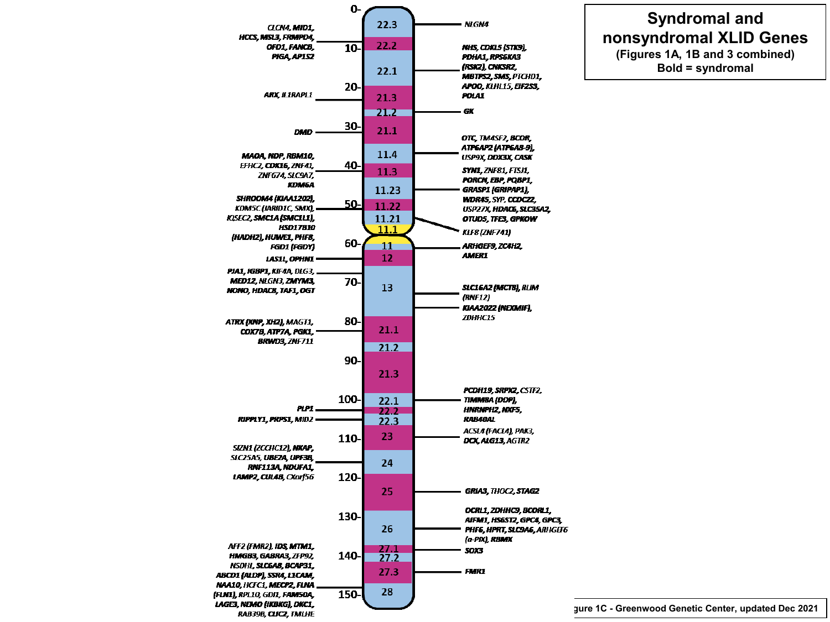## **Syndromal and nonsyndromal XLID Genes (Figures 1A, 1B and 3 combined) Bold = syndromal**



**Figure 1C - Greenwood Genetic Center, updated Dec 2021**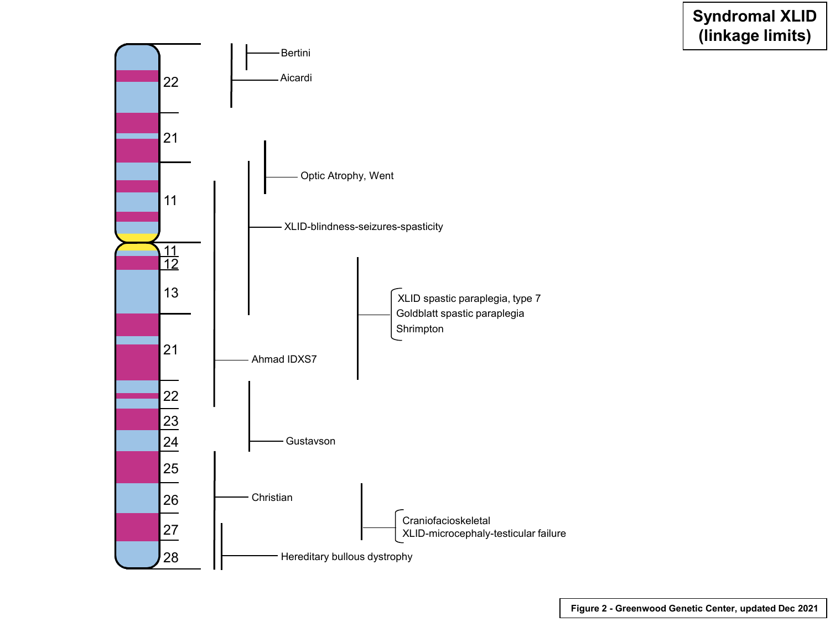## **Syndromal XLID (linkage limits)**